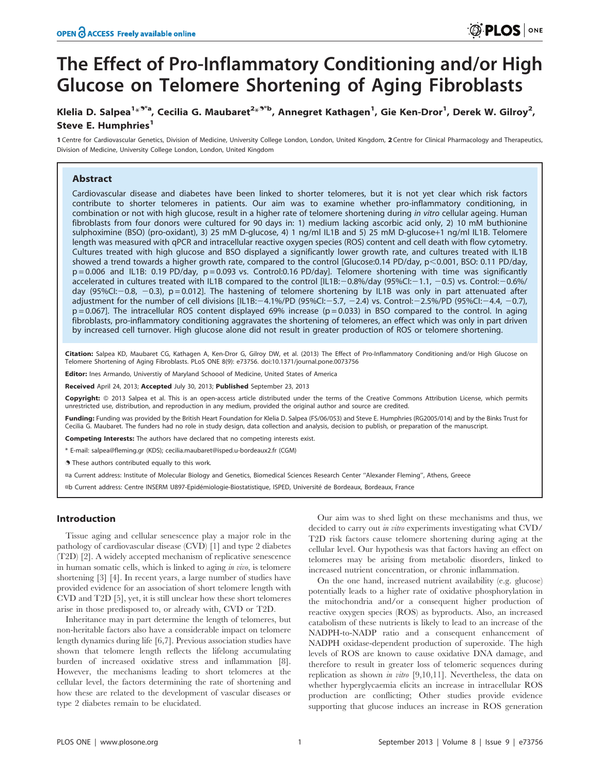# The Effect of Pro-Inflammatory Conditioning and/or High Glucose on Telomere Shortening of Aging Fibroblasts

# Klelia D. Salpea<sup>1 $\ast$ 9ªa, Cecilia G. Maubaret<sup>2 $\ast$ 9ªb</sup>, Annegret Kathagen<sup>1</sup>, Gie Ken-Dror<sup>1</sup>, Derek W. Gilroy<sup>2</sup>,</sup> Steve E. Humphries<sup>1</sup>

1 Centre for Cardiovascular Genetics, Division of Medicine, University College London, London, United Kingdom, 2 Centre for Clinical Pharmacology and Therapeutics, Division of Medicine, University College London, London, United Kingdom

# Abstract

Cardiovascular disease and diabetes have been linked to shorter telomeres, but it is not yet clear which risk factors contribute to shorter telomeres in patients. Our aim was to examine whether pro-inflammatory conditioning, in combination or not with high glucose, result in a higher rate of telomere shortening during in vitro cellular ageing. Human fibroblasts from four donors were cultured for 90 days in: 1) medium lacking ascorbic acid only, 2) 10 mM buthionine sulphoximine (BSO) (pro-oxidant), 3) 25 mM D-glucose, 4) 1 ng/ml IL1B and 5) 25 mM D-glucose+1 ng/ml IL1B. Telomere length was measured with qPCR and intracellular reactive oxygen species (ROS) content and cell death with flow cytometry. Cultures treated with high glucose and BSO displayed a significantly lower growth rate, and cultures treated with IL1B showed a trend towards a higher growth rate, compared to the control [Glucose:0.14 PD/day, p<0.001, BSO: 0.11 PD/day, p = 0.006 and IL1B: 0.19 PD/day, p = 0.093 vs. Control:0.16 PD/day]. Telomere shortening with time was significantly accelerated in cultures treated with IL1B compared to the control  $[IL1B:-0.8\%/day (95\%/C1:-1.1, -0.5)$  vs. Control: $-0.6\%/$ day (95%CI: $-0.8$ ,  $-0.3$ ), p = 0.012]. The hastening of telomere shortening by IL1B was only in part attenuated after adjustment for the number of cell divisions [IL1B: $-4.1\%$ /PD (95%CI: $-5.7$ ,  $-2.4$ ) vs. Control: $-2.5\%$ /PD (95%CI: $-4.4$ ,  $-0.7$ ),  $p = 0.067$ ]. The intracellular ROS content displayed 69% increase ( $p = 0.033$ ) in BSO compared to the control. In aging fibroblasts, pro-inflammatory conditioning aggravates the shortening of telomeres, an effect which was only in part driven by increased cell turnover. High glucose alone did not result in greater production of ROS or telomere shortening.

Citation: Salpea KD, Maubaret CG, Kathagen A, Ken-Dror G, Gilroy DW, et al. (2013) The Effect of Pro-Inflammatory Conditioning and/or High Glucose on Telomere Shortening of Aging Fibroblasts. PLoS ONE 8(9): e73756. doi:10.1371/journal.pone.0073756

Editor: Ines Armando, Universtiy of Maryland Schoool of Medicine, United States of America

Received April 24, 2013; Accepted July 30, 2013; Published September 23, 2013

Copyright: © 2013 Salpea et al. This is an open-access article distributed under the terms of the Creative Commons Attribution License, which permits unrestricted use, distribution, and reproduction in any medium, provided the original author and source are credited.

Funding: Funding was provided by the British Heart Foundation for Klelia D. Salpea (FS/06/053) and Steve E. Humphries (RG2005/014) and by the Binks Trust for Cecilia G. Maubaret. The funders had no role in study design, data collection and analysis, decision to publish, or preparation of the manuscript.

**ompeting Interests:** The authors have declared that no competing interests exist.

\* E-mail: salpea@fleming.gr (KDS); cecilia.maubaret@isped.u-bordeaux2.fr (CGM)

. These authors contributed equally to this work.

¤a Current address: Institute of Molecular Biology and Genetics, Biomedical Sciences Research Center ''Alexander Fleming'', Athens, Greece

¤b Current address: Centre INSERM U897-Epidémiologie-Biostatistique, ISPED, Université de Bordeaux, Bordeaux, France

# Introduction

Tissue aging and cellular senescence play a major role in the pathology of cardiovascular disease (CVD) [1] and type 2 diabetes (T2D) [2]. A widely accepted mechanism of replicative senescence in human somatic cells, which is linked to aging in vivo, is telomere shortening [3] [4]. In recent years, a large number of studies have provided evidence for an association of short telomere length with CVD and T2D [5], yet, it is still unclear how these short telomeres arise in those predisposed to, or already with, CVD or T2D.

Inheritance may in part determine the length of telomeres, but non-heritable factors also have a considerable impact on telomere length dynamics during life [6,7]. Previous association studies have shown that telomere length reflects the lifelong accumulating burden of increased oxidative stress and inflammation [8]. However, the mechanisms leading to short telomeres at the cellular level, the factors determining the rate of shortening and how these are related to the development of vascular diseases or type 2 diabetes remain to be elucidated.

Our aim was to shed light on these mechanisms and thus, we decided to carry out *in vitro* experiments investigating what CVD/ T2D risk factors cause telomere shortening during aging at the cellular level. Our hypothesis was that factors having an effect on telomeres may be arising from metabolic disorders, linked to increased nutrient concentration, or chronic inflammation.

On the one hand, increased nutrient availability (e.g. glucose) potentially leads to a higher rate of oxidative phosphorylation in the mitochondria and/or a consequent higher production of reactive oxygen species (ROS) as byproducts. Also, an increased catabolism of these nutrients is likely to lead to an increase of the NADPH-to-NADP ratio and a consequent enhancement of NADPH oxidase-dependent production of superoxide. The high levels of ROS are known to cause oxidative DNA damage, and therefore to result in greater loss of telomeric sequences during replication as shown in vitro [9,10,11]. Nevertheless, the data on whether hyperglycaemia elicits an increase in intracellular ROS production are conflicting; Other studies provide evidence supporting that glucose induces an increase in ROS generation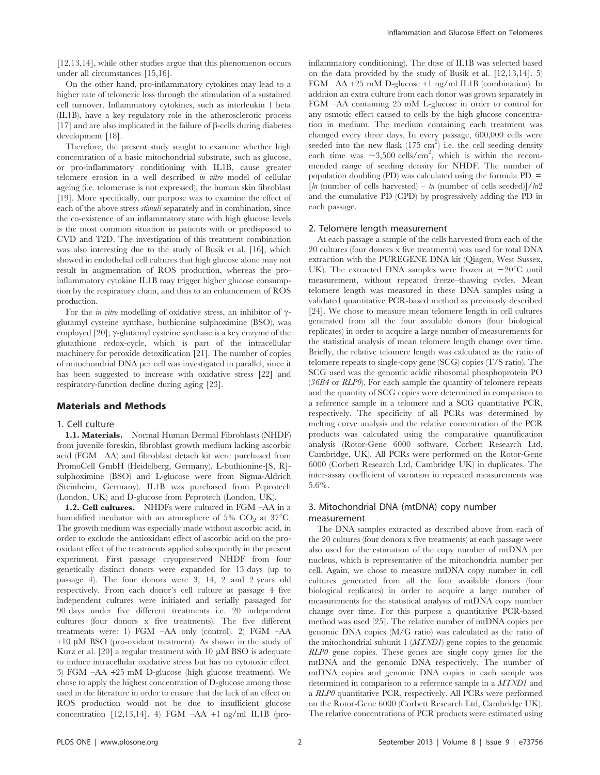[12,13,14], while other studies argue that this phenomenon occurs under all circumstances [15,16].

On the other hand, pro-inflammatory cytokines may lead to a higher rate of telomeric loss through the stimulation of a sustained cell turnover. Inflammatory cytokines, such as interleukin 1 beta (IL1B), have a key regulatory role in the atherosclerotic process [17] and are also implicated in the failure of  $\beta$ -cells during diabetes development [18].

Therefore, the present study sought to examine whether high concentration of a basic mitochondrial substrate, such as glucose, or pro-inflammatory conditioning with IL1B, cause greater telomere erosion in a well described in vitro model of cellular ageing (i.e. telomerase is not expressed), the human skin fibroblast [19]. More specifically, our purpose was to examine the effect of each of the above stress stimuli separately and in combination, since the co-existence of an inflammatory state with high glucose levels is the most common situation in patients with or predisposed to CVD and T2D. The investigation of this treatment combination was also interesting due to the study of Busik et al. [16], which showed in endothelial cell cultures that high glucose alone may not result in augmentation of ROS production, whereas the proinflammatory cytokine IL1B may trigger higher glucose consumption by the respiratory chain, and thus to an enhancement of ROS production.

For the *in vitro* modelling of oxidative stress, an inhibitor of  $\gamma$ glutamyl cysteine synthase, buthionine sulphoximine (BSO), was employed  $[20]$ ;  $\gamma$ -glutamyl cysteine synthase is a key enzyme of the glutathione redox-cycle, which is part of the intracellular machinery for peroxide detoxification [21]. The number of copies of mitochondrial DNA per cell was investigated in parallel, since it has been suggested to increase with oxidative stress [22] and respiratory-function decline during aging [23].

# Materials and Methods

#### 1. Cell culture

1.1. Materials. Normal Human Dermal Fibroblasts (NHDF) from juvenile foreskin, fibroblast growth medium lacking ascorbic acid (FGM –AA) and fibroblast detach kit were purchased from PromoCell GmbH (Heidelberg, Germany). L-buthionine-[S, R] sulphoximine (BSO) and L-glucose were from Sigma-Aldrich (Steinheim, Germany). IL1B was purchased from Peprotech (London, UK) and D-glucose from Peprotech (London, UK).

1.2. Cell cultures. NHDFs were cultured in FGM –AA in a humidified incubator with an atmosphere of 5%  $CO<sub>2</sub>$  at 37°C. The growth medium was especially made without ascorbic acid, in order to exclude the antioxidant effect of ascorbic acid on the prooxidant effect of the treatments applied subsequently in the present experiment. First passage cryopreserved NHDF from four genetically distinct donors were expanded for 13 days (up to passage 4). The four donors were 3, 14, 2 and 2 years old respectively. From each donor's cell culture at passage 4 five independent cultures were initiated and serially passaged for 90 days under five different treatments i.e. 20 independent cultures (four donors x five treatments). The five different treatments were: 1) FGM –AA only (control). 2) FGM –AA +10 µM BSO (pro-oxidant treatment). As shown in the study of Kurz et al. [20] a regular treatment with 10  $\mu$ M BSO is adequate to induce intracellular oxidative stress but has no cytotoxic effect. 3) FGM –AA +25 mM D-glucose (high glucose treatment). We chose to apply the highest concentration of D-glucose among those used in the literature in order to ensure that the lack of an effect on ROS production would not be due to insufficient glucose concentration [12,13,14]. 4) FGM –AA +1 ng/ml IL1B (proinflammatory conditioning). The dose of IL1B was selected based on the data provided by the study of Busik et al. [12,13,14]. 5) FGM –AA +25 mM D-glucose +1 ng/ml IL1B (combination). In addition an extra culture from each donor was grown separately in FGM –AA containing 25 mM L-glucose in order to control for any osmotic effect caused to cells by the high glucose concentration in medium. The medium containing each treatment was changed every three days. In every passage, 600,000 cells were seeded into the new flask  $(175 \text{ cm}^2)$  i.e. the cell seeding density each time was  $\sim 3,500$  cells/cm<sup>2</sup>, which is within the recommended range of seeding density for NHDF. The number of population doubling (PD) was calculated using the formula  $PD =$ [ $\ln$  (number of cells harvested) –  $\ln$  (number of cells seeded)]/ $\ln 2$ and the cumulative PD (CPD) by progressively adding the PD in each passage.

## 2. Telomere length measurement

At each passage a sample of the cells harvested from each of the 20 cultures (four donors x five treatments) was used for total DNA extraction with the PUREGENE DNA kit (Qiagen, West Sussex, UK). The extracted DNA samples were frozen at  $-20^{\circ}$ C until measurement, without repeated freeze–thawing cycles. Mean telomere length was measured in these DNA samples using a validated quantitative PCR-based method as previously described [24]. We chose to measure mean telomere length in cell cultures generated from all the four available donors (four biological replicates) in order to acquire a large number of measurements for the statistical analysis of mean telomere length change over time. Briefly, the relative telomere length was calculated as the ratio of telomere repeats to single-copy gene (SCG) copies (T/S ratio). The SCG used was the genomic acidic ribosomal phosphoprotein PO (36B4 or RLP0). For each sample the quantity of telomere repeats and the quantity of SCG copies were determined in comparison to a reference sample in a telomere and a SCG quantitative PCR, respectively. The specificity of all PCRs was determined by melting curve analysis and the relative concentration of the PCR products was calculated using the comparative quantification analysis (Rotor-Gene 6000 software, Corbett Research Ltd, Cambridge, UK). All PCRs were performed on the Rotor-Gene 6000 (Corbett Research Ltd, Cambridge UK) in duplicates. The inter-assay coefficient of variation in repeated measurements was 5.6%.

# 3. Mitochondrial DNA (mtDNA) copy number measurement

The DNA samples extracted as described above from each of the 20 cultures (four donors x five treatments) at each passage were also used for the estimation of the copy number of mtDNA per nucleus, which is representative of the mitochondria number per cell. Again, we chose to measure mtDNA copy number in cell cultures generated from all the four available donors (four biological replicates) in order to acquire a large number of measurements for the statistical analysis of mtDNA copy number change over time. For this purpose a quantitative PCR-based method was used [25]. The relative number of mtDNA copies per genomic DNA copies (M/G ratio) was calculated as the ratio of the mitochondrial subunit 1 (MTND1) gene copies to the genomic RLP0 gene copies. These genes are single copy genes for the mtDNA and the genomic DNA respectively. The number of mtDNA copies and genomic DNA copies in each sample was determined in comparison to a reference sample in a MTND1 and a RLP0 quantitative PCR, respectively. All PCRs were performed on the Rotor-Gene 6000 (Corbett Research Ltd, Cambridge UK). The relative concentrations of PCR products were estimated using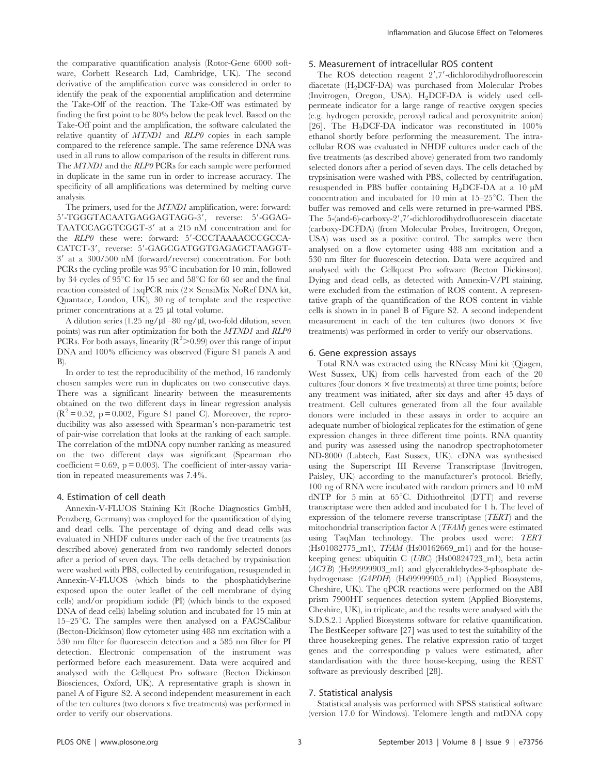the comparative quantification analysis (Rotor-Gene 6000 software, Corbett Research Ltd, Cambridge, UK). The second derivative of the amplification curve was considered in order to identify the peak of the exponential amplification and determine the Take-Off of the reaction. The Take-Off was estimated by finding the first point to be 80% below the peak level. Based on the Take-Off point and the amplification, the software calculated the relative quantity of MTND1 and RLP0 copies in each sample compared to the reference sample. The same reference DNA was used in all runs to allow comparison of the results in different runs. The MTND1 and the RLP0 PCRs for each sample were performed in duplicate in the same run in order to increase accuracy. The specificity of all amplifications was determined by melting curve analysis.

The primers, used for the MTND1 amplification, were: forward: 5'-TGGGTACAATGAGGAGTAGG-3', reverse: 5'-GGAG-TAATCCAGGTCGGT-3' at a 215 nM concentration and for the RLP0 these were: forward: 5'-CCCTAAAACCCGCCA-CATCT-3', reverse: 5'-GAGCGATGGTGAGAGCTAAGGT- $3'$  at a  $300/500$  nM (forward/reverse) concentration. For both PCRs the cycling profile was  $95^{\circ}$ C incubation for 10 min, followed by 34 cycles of  $95^{\circ}$ C for 15 sec and  $58^{\circ}$ C for 60 sec and the final reaction consisted of  $1xqPCR$  mix  $(2 \times SensiMix$  NoRef DNA kit, Quantace, London, UK), 30 ng of template and the respective primer concentrations at a 25 µl total volume.

A dilution series  $(1.25 \text{ ng/}\mu$ l –80 ng/ $\mu$ l, two-fold dilution, seven points) was run after optimization for both the MTND1 and RLP0 PCRs. For both assays, linearity ( $\mathbb{R}^2$ >0.99) over this range of input DNA and 100% efficiency was observed (Figure S1 panels A and B).

In order to test the reproducibility of the method, 16 randomly chosen samples were run in duplicates on two consecutive days. There was a significant linearity between the measurements obtained on the two different days in linear regression analysis  $(R^2=0.52, p=0.002,$  Figure S1 panel C). Moreover, the reproducibility was also assessed with Spearman's non-parametric test of pair-wise correlation that looks at the ranking of each sample. The correlation of the mtDNA copy number ranking as measured on the two different days was significant (Spearman rho coefficient  $= 0.69$ ,  $p = 0.003$ ). The coefficient of inter-assay variation in repeated measurements was 7.4%.

#### 4. Estimation of cell death

Annexin-V-FLUOS Staining Kit (Roche Diagnostics GmbH, Penzberg, Germany) was employed for the quantification of dying and dead cells. The percentage of dying and dead cells was evaluated in NHDF cultures under each of the five treatments (as described above) generated from two randomly selected donors after a period of seven days. The cells detached by trypsinisation were washed with PBS, collected by centrifugation, resuspended in Annexin-V-FLUOS (which binds to the phosphatidylserine exposed upon the outer leaflet of the cell membrane of dying cells) and/or propidium iodide (PI) (which binds to the exposed DNA of dead cells) labeling solution and incubated for 15 min at  $15-25^{\circ}$ C. The samples were then analysed on a FACSCalibur (Becton-Dickinson) flow cytometer using 488 nm excitation with a 530 nm filter for fluorescein detection and a 585 nm filter for PI detection. Electronic compensation of the instrument was performed before each measurement. Data were acquired and analysed with the Cellquest Pro software (Becton Dickinson Biosciences, Oxford, UK). A representative graph is shown in panel A of Figure S2. A second independent measurement in each of the ten cultures (two donors x five treatments) was performed in order to verify our observations.

#### 5. Measurement of intracellular ROS content

The ROS detection reagent  $2'$ ,  $7'$ -dichlorodihydrofluorescein diacetate (H2DCF-DA) was purchased from Molecular Probes (Invitrogen, Oregon, USA). H<sub>2</sub>DCF-DA is widely used cellpermeate indicator for a large range of reactive oxygen species (e.g. hydrogen peroxide, peroxyl radical and peroxynitrite anion) [26]. The  $H<sub>2</sub>DCF-DA$  indicator was reconstituted in 100% ethanol shortly before performing the measurement. The intracellular ROS was evaluated in NHDF cultures under each of the five treatments (as described above) generated from two randomly selected donors after a period of seven days. The cells detached by trypsinisation were washed with PBS, collected by centrifugation, resuspended in PBS buffer containing  $H_2DCF-DA$  at a 10  $\mu$ M concentration and incubated for 10 min at  $15-25^{\circ}$ C. Then the buffer was removed and cells were returned in pre-warmed PBS. The 5-(and-6)-carboxy-2',7'-dichlorodihydrofluorescein diacetate (carboxy-DCFDA) (from Molecular Probes, Invitrogen, Oregon, USA) was used as a positive control. The samples were then analysed on a flow cytometer using 488 nm excitation and a 530 nm filter for fluorescein detection. Data were acquired and analysed with the Cellquest Pro software (Becton Dickinson). Dying and dead cells, as detected with Annexin-V/PI staining, were excluded from the estimation of ROS content. A representative graph of the quantification of the ROS content in viable cells is shown in in panel B of Figure S2. A second independent measurement in each of the ten cultures (two donors  $\times$  five treatments) was performed in order to verify our observations.

#### 6. Gene expression assays

Total RNA was extracted using the RNeasy Mini kit (Qiagen, West Sussex, UK) from cells harvested from each of the 20 cultures (four donors  $\times$  five treatments) at three time points; before any treatment was initiated, after six days and after 45 days of treatment. Cell cultures generated from all the four available donors were included in these assays in order to acquire an adequate number of biological replicates for the estimation of gene expression changes in three different time points. RNA quantity and purity was assessed using the nanodrop spectrophotometer ND-8000 (Labtech, East Sussex, UK). cDNA was synthesised using the Superscript III Reverse Transcriptase (Invitrogen, Paisley, UK) according to the manufacturer's protocol. Briefly, 100 ng of RNA were incubated with random primers and 10 mM dNTP for 5 min at  $65^{\circ}$ C. Dithiothreitol (DTT) and reverse transcriptase were then added and incubated for 1 h. The level of expression of the telomere reverse transcriptase (TERT) and the mitochondrial transcription factor A (TFAM) genes were estimated using TaqMan technology. The probes used were: TERT (Hs01082775\_m1), TFAM (Hs00162669\_m1) and for the housekeeping genes: ubiquitin C (UBC) (Hs00824723\_m1), beta actin (ACTB) (Hs99999903\_m1) and glyceraldehydes-3-phosphate dehydrogenase (GAPDH) (Hs99999905\_m1) (Applied Biosystems, Cheshire, UK). The qPCR reactions were performed on the ABI prism 7900HT sequences detection system (Applied Biosystems, Cheshire, UK), in triplicate, and the results were analysed with the S.D.S.2.1 Applied Biosystems software for relative quantification. The BestKeeper software [27] was used to test the suitability of the three housekeeping genes. The relative expression ratio of target genes and the corresponding p values were estimated, after standardisation with the three house-keeping, using the REST software as previously described [28].

#### 7. Statistical analysis

Statistical analysis was performed with SPSS statistical software (version 17.0 for Windows). Telomere length and mtDNA copy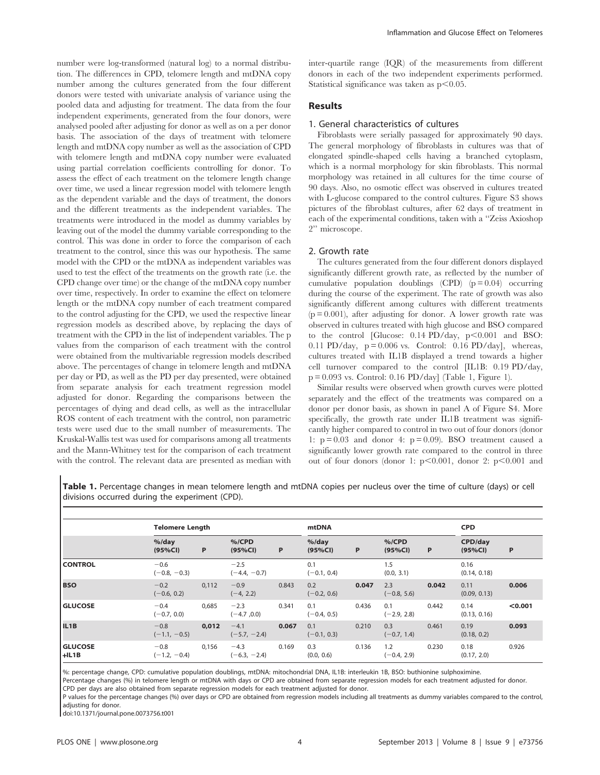number were log-transformed (natural log) to a normal distribution. The differences in CPD, telomere length and mtDNA copy number among the cultures generated from the four different donors were tested with univariate analysis of variance using the pooled data and adjusting for treatment. The data from the four independent experiments, generated from the four donors, were analysed pooled after adjusting for donor as well as on a per donor basis. The association of the days of treatment with telomere length and mtDNA copy number as well as the association of CPD with telomere length and mtDNA copy number were evaluated using partial correlation coefficients controlling for donor. To assess the effect of each treatment on the telomere length change over time, we used a linear regression model with telomere length as the dependent variable and the days of treatment, the donors and the different treatments as the independent variables. The treatments were introduced in the model as dummy variables by leaving out of the model the dummy variable corresponding to the control. This was done in order to force the comparison of each treatment to the control, since this was our hypothesis. The same model with the CPD or the mtDNA as independent variables was used to test the effect of the treatments on the growth rate (i.e. the CPD change over time) or the change of the mtDNA copy number over time, respectively. In order to examine the effect on telomere length or the mtDNA copy number of each treatment compared to the control adjusting for the CPD, we used the respective linear regression models as described above, by replacing the days of treatment with the CPD in the list of independent variables. The p values from the comparison of each treatment with the control were obtained from the multivariable regression models described above. The percentages of change in telomere length and mtDNA per day or PD, as well as the PD per day presented, were obtained from separate analysis for each treatment regression model adjusted for donor. Regarding the comparisons between the percentages of dying and dead cells, as well as the intracellular ROS content of each treatment with the control, non parametric tests were used due to the small number of measurements. The Kruskal-Wallis test was used for comparisons among all treatments and the Mann-Whitney test for the comparison of each treatment with the control. The relevant data are presented as median with

inter-quartile range (IQR) of the measurements from different donors in each of the two independent experiments performed. Statistical significance was taken as  $p<0.05$ .

# Results

# 1. General characteristics of cultures

Fibroblasts were serially passaged for approximately 90 days. The general morphology of fibroblasts in cultures was that of elongated spindle-shaped cells having a branched cytoplasm, which is a normal morphology for skin fibroblasts. This normal morphology was retained in all cultures for the time course of 90 days. Also, no osmotic effect was observed in cultures treated with L-glucose compared to the control cultures. Figure S3 shows pictures of the fibroblast cultures, after 62 days of treatment in each of the experimental conditions, taken with a ''Zeiss Axioshop 2'' microscope.

# 2. Growth rate

The cultures generated from the four different donors displayed significantly different growth rate, as reflected by the number of cumulative population doublings  $(CPD)$  (p = 0.04) occurring during the course of the experiment. The rate of growth was also significantly different among cultures with different treatments  $(p = 0.001)$ , after adjusting for donor. A lower growth rate was observed in cultures treated with high glucose and BSO compared to the control [Glucose:  $0.14 \text{ PD/day}, p \leq 0.001$  and BSO: 0.11 PD/day,  $p = 0.006$  vs. Control: 0.16 PD/day], whereas, cultures treated with IL1B displayed a trend towards a higher cell turnover compared to the control [IL1B: 0.19 PD/day,  $p = 0.093$  vs. Control: 0.16 PD/day] (Table 1, Figure 1).

Similar results were observed when growth curves were plotted separately and the effect of the treatments was compared on a donor per donor basis, as shown in panel A of Figure S4. More specifically, the growth rate under IL1B treatment was significantly higher compared to control in two out of four donors (donor 1:  $p = 0.03$  and donor 4:  $p = 0.09$ ). BSO treatment caused a significantly lower growth rate compared to the control in three out of four donors (donor 1:  $p<0.001$ , donor 2:  $p<0.001$  and

Telomere Length mtDNA CPD %/day (95%CI) P %/CPD (95%CI) P %/day (95%CI) P %/CPD (95%CI) P CPD/day  $(95\%$ CI) P  $COMTRO1$   $-0.6$  $(-0.8, -0.3)$  $-2.5$  $(-4.4, -0.7)$  $0.1$  $(-0.1, 0.4)$ 1.5 (0.0, 3.1) 0.16 (0.14, 0.18)  $BSO$   $-0.2$  $(-0.6, 0.2)$  $0.112 -0.9$  $(-4, 2.2)$ 0.843 0.2  $(-0.2, 0.6)$ 0.047 2.3  $(-0.8, 5.6)$ 0.042 0.11 (0.09, 0.13) 0.006 GLUCOSE  $-0.4$  $(-0.7, 0.0)$  $0.685 -2.3$  $(-4.7, 0.0)$ 0.341 0.1  $(-0.4, 0.5)$ 0.436 0.1  $(-2.9, 2.8)$ 0.442 0.14 (0.13, 0.16)  $< 0.001$ **IL1B**  $-0.8$  $(-1.1, -0.5)$  $0.012 -4.1$  $(-5.7, -2.4)$ 0.067 0.1  $(-0.1, 0.3)$ 0.210 0.3  $(-0.7, 1.4)$ 0.461 0.19 (0.18, 0.2) 0.093 GLUCOSE  $+$ IL1B  $-0.8$  $(-1.2, -0.4)$  $0.156 -4.3$  $(-6.3, -2.4)$ 0.169 0.3 (0.0, 0.6) 0.136 1.2  $(-0.4, 2.9)$ 0.230 0.18 (0.17, 2.0) 0.926

Table 1. Percentage changes in mean telomere length and mtDNA copies per nucleus over the time of culture (days) or cell divisions occurred during the experiment (CPD).

%: percentage change, CPD: cumulative population doublings, mtDNA: mitochondrial DNA, IL1B: interleukin 1B, BSO: buthionine sulphoximine.

Percentage changes (%) in telomere length or mtDNA with days or CPD are obtained from separate regression models for each treatment adjusted for donor. CPD per days are also obtained from separate regression models for each treatment adjusted for donor.

P values for the percentage changes (%) over days or CPD are obtained from regression models including all treatments as dummy variables compared to the control, adjusting for donor.

doi:10.1371/journal.pone.0073756.t001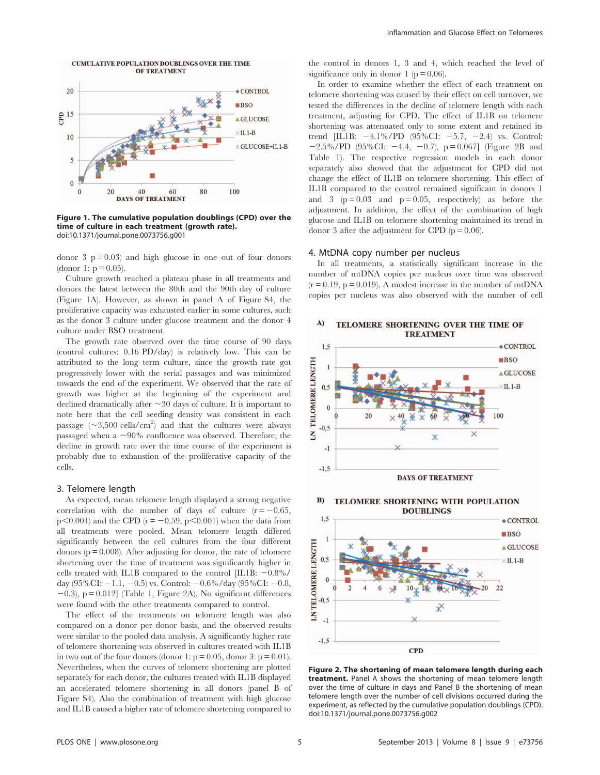

Figure 1. The cumulative population doublings (CPD) over the time of culture in each treatment (growth rate). doi:10.1371/journal.pone.0073756.g001

donor 3  $p = 0.03$  and high glucose in one out of four donors (donor 1:  $p = 0.05$ ).

Culture growth reached a plateau phase in all treatments and donors the latest between the 80th and the 90th day of culture (Figure 1A). However, as shown in panel A of Figure S4, the proliferative capacity was exhausted earlier in some cultures, such as the donor 3 culture under glucose treatment and the donor 4 culture under BSO treatment.

The growth rate observed over the time course of 90 days (control cultures: 0.16 PD/day) is relatively low. This can be attributed to the long term culture, since the growth rate got progressively lower with the serial passages and was minimized towards the end of the experiment. We observed that the rate of growth was higher at the beginning of the experiment and declined dramatically after  $\sim$  30 days of culture. It is important to note here that the cell seeding density was consistent in each passage  $(\sim 3,500 \text{ cells/cm}^2)$  and that the cultures were always passaged when a  $\sim$ 90% confluence was observed. Therefore, the decline in growth rate over the time course of the experiment is probably due to exhaustion of the proliferative capacity of the cells.

#### 3. Telomere length

As expected, mean telomere length displayed a strong negative correlation with the number of days of culture  $(r = -0.65,$  $p<0.001$ ) and the CPD ( $r = -0.59$ ,  $p<0.001$ ) when the data from all treatments were pooled. Mean telomere length differed significantly between the cell cultures from the four different donors ( $p = 0.008$ ). After adjusting for donor, the rate of telomere shortening over the time of treatment was significantly higher in cells treated with IL1B compared to the control  $[IL1B: -0.8\% /$ day (95%CI:  $-1.1, -0.5$ ) vs. Control:  $-0.6\%$ /day (95%CI:  $-0.8$ ,  $-0.3$ ), p = 0.012] (Table 1, Figure 2A). No significant differences were found with the other treatments compared to control.

The effect of the treatments on telomere length was also compared on a donor per donor basis, and the observed results were similar to the pooled data analysis. A significantly higher rate of telomere shortening was observed in cultures treated with IL1B in two out of the four donors (donor 1:  $p = 0.05$ , donor 3:  $p = 0.01$ ). Nevertheless, when the curves of telomere shortening are plotted separately for each donor, the cultures treated with IL1B displayed an accelerated telomere shortening in all donors (panel B of Figure S4). Also the combination of treatment with high glucose and IL1B caused a higher rate of telomere shortening compared to

the control in donors 1, 3 and 4, which reached the level of significance only in donor 1 ( $p = 0.06$ ).

In order to examine whether the effect of each treatment on telomere shortening was caused by their effect on cell turnover, we tested the differences in the decline of telomere length with each treatment, adjusting for CPD. The effect of IL1B on telomere shortening was attenuated only to some extent and retained its trend [IL1B:  $-4.1\% / PD$  (95%CI:  $-5.7$ ,  $-2.4$ ) vs. Control:  $-2.5\%$ /PD (95%CI:  $-4.4$ ,  $-0.7$ ), p = 0.067] (Figure 2B and Table 1). The respective regression models in each donor separately also showed that the adjustment for CPD did not change the effect of IL1B on telomere shortening. This effect of IL1B compared to the control remained significant in donors 1 and 3 ( $p = 0.03$  and  $p = 0.05$ , respectively) as before the adjustment. In addition, the effect of the combination of high glucose and IL1B on telomere shortening maintained its trend in donor 3 after the adjustment for CPD  $(p = 0.06)$ .

#### 4. MtDNA copy number per nucleus

In all treatments, a statistically significant increase in the number of mtDNA copies per nucleus over time was observed  $(r = 0.19, p = 0.019)$ . A modest increase in the number of mtDNA copies per nucleus was also observed with the number of cell

A) TELOMERE SHORTENING OVER THE TIME OF **TREATMENT** 



Figure 2. The shortening of mean telomere length during each treatment. Panel A shows the shortening of mean telomere length over the time of culture in days and Panel B the shortening of mean telomere length over the number of cell divisions occurred during the experiment, as reflected by the cumulative population doublings (CPD). doi:10.1371/journal.pone.0073756.g002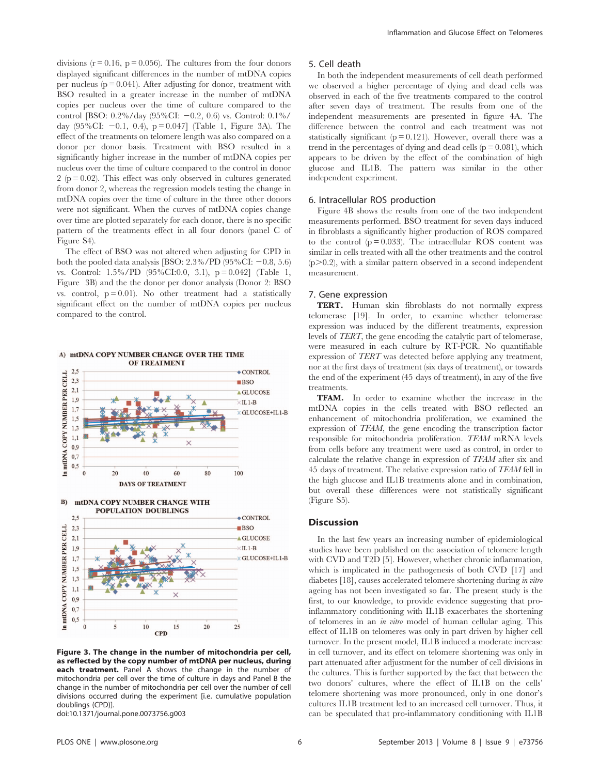divisions  $(r = 0.16, p = 0.056)$ . The cultures from the four donors displayed significant differences in the number of mtDNA copies per nucleus ( $p = 0.041$ ). After adjusting for donor, treatment with BSO resulted in a greater increase in the number of mtDNA copies per nucleus over the time of culture compared to the control [BSO:  $0.2\%$ /day (95%CI: -0.2, 0.6) vs. Control:  $0.1\%$ / day  $(95\% CI: -0.1, 0.4)$ , p = 0.047] (Table 1, Figure 3A). The effect of the treatments on telomere length was also compared on a donor per donor basis. Treatment with BSO resulted in a significantly higher increase in the number of mtDNA copies per nucleus over the time of culture compared to the control in donor 2 ( $p = 0.02$ ). This effect was only observed in cultures generated from donor 2, whereas the regression models testing the change in mtDNA copies over the time of culture in the three other donors were not significant. When the curves of mtDNA copies change over time are plotted separately for each donor, there is no specific pattern of the treatments effect in all four donors (panel C of Figure S4).

The effect of BSO was not altered when adjusting for CPD in both the pooled data analysis [BSO:  $2.3\%$ /PD (95%CI:  $-0.8$ , 5.6) vs. Control: 1.5%/PD (95%CI:0.0, 3.1), p = 0.042] (Table 1, Figure 3B) and the the donor per donor analysis (Donor 2: BSO vs. control,  $p = 0.01$ ). No other treatment had a statistically significant effect on the number of mtDNA copies per nucleus compared to the control.

A) mtDNA COPY NUMBER CHANGE OVER THE TIME



Figure 3. The change in the number of mitochondria per cell, as reflected by the copy number of mtDNA per nucleus, during each treatment. Panel A shows the change in the number of mitochondria per cell over the time of culture in days and Panel B the change in the number of mitochondria per cell over the number of cell divisions occurred during the experiment [i.e. cumulative population doublings (CPD)].

**CPD** 

doi:10.1371/journal.pone.0073756.g003

# 5. Cell death

In both the independent measurements of cell death performed we observed a higher percentage of dying and dead cells was observed in each of the five treatments compared to the control after seven days of treatment. The results from one of the independent measurements are presented in figure 4A. The difference between the control and each treatment was not statistically significant ( $p = 0.121$ ). However, overall there was a trend in the percentages of dying and dead cells  $(p = 0.081)$ , which appears to be driven by the effect of the combination of high glucose and IL1B. The pattern was similar in the other independent experiment.

#### 6. Intracellular ROS production

Figure 4B shows the results from one of the two independent measurements performed. BSO treatment for seven days induced in fibroblasts a significantly higher production of ROS compared to the control  $(p = 0.033)$ . The intracellular ROS content was similar in cells treated with all the other treatments and the control  $(p>0.2)$ , with a similar pattern observed in a second independent measurement.

# 7. Gene expression

TERT. Human skin fibroblasts do not normally express telomerase [19]. In order, to examine whether telomerase expression was induced by the different treatments, expression levels of TERT, the gene encoding the catalytic part of telomerase, were measured in each culture by RT-PCR. No quantifiable expression of TERT was detected before applying any treatment, nor at the first days of treatment (six days of treatment), or towards the end of the experiment (45 days of treatment), in any of the five treatments.

TFAM. In order to examine whether the increase in the mtDNA copies in the cells treated with BSO reflected an enhancement of mitochondria proliferation, we examined the expression of TFAM, the gene encoding the transcription factor responsible for mitochondria proliferation. TFAM mRNA levels from cells before any treatment were used as control, in order to calculate the relative change in expression of TFAM after six and 45 days of treatment. The relative expression ratio of TFAM fell in the high glucose and IL1B treatments alone and in combination, but overall these differences were not statistically significant (Figure S5).

# Discussion

In the last few years an increasing number of epidemiological studies have been published on the association of telomere length with CVD and T2D [5]. However, whether chronic inflammation, which is implicated in the pathogenesis of both CVD [17] and diabetes [18], causes accelerated telomere shortening during in vitro ageing has not been investigated so far. The present study is the first, to our knowledge, to provide evidence suggesting that proinflammatory conditioning with IL1B exacerbates the shortening of telomeres in an in vitro model of human cellular aging. This effect of IL1B on telomeres was only in part driven by higher cell turnover. In the present model, IL1B induced a moderate increase in cell turnover, and its effect on telomere shortening was only in part attenuated after adjustment for the number of cell divisions in the cultures. This is further supported by the fact that between the two donors' cultures, where the effect of IL1B on the cells' telomere shortening was more pronounced, only in one donor's cultures IL1B treatment led to an increased cell turnover. Thus, it can be speculated that pro-inflammatory conditioning with IL1B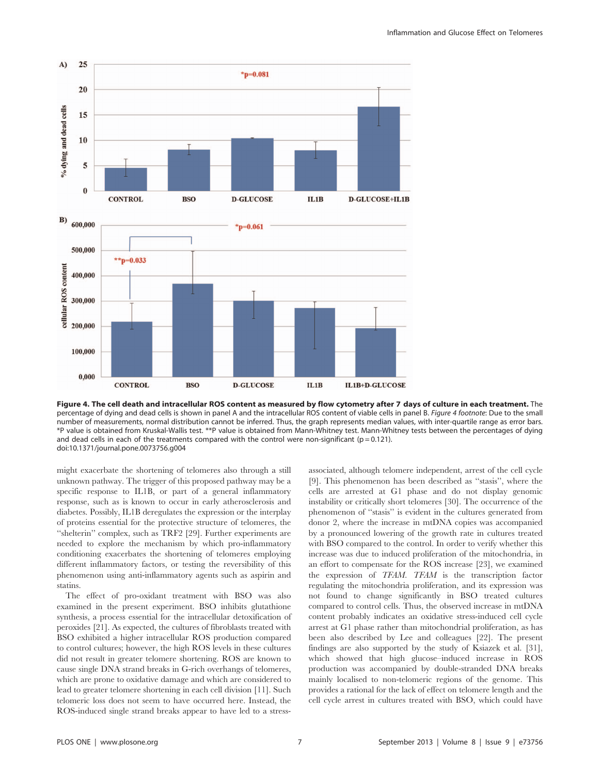

Figure 4. The cell death and intracellular ROS content as measured by flow cytometry after 7 days of culture in each treatment. The percentage of dying and dead cells is shown in panel A and the intracellular ROS content of viable cells in panel B. Figure 4 footnote: Due to the small number of measurements, normal distribution cannot be inferred. Thus, the graph represents median values, with inter-quartile range as error bars. \*P value is obtained from Kruskal-Wallis test. \*\*P value is obtained from Mann-Whitney test. Mann-Whitney tests between the percentages of dying and dead cells in each of the treatments compared with the control were non-significant ( $p = 0.121$ ). doi:10.1371/journal.pone.0073756.g004

might exacerbate the shortening of telomeres also through a still unknown pathway. The trigger of this proposed pathway may be a specific response to IL1B, or part of a general inflammatory response, such as is known to occur in early atherosclerosis and diabetes. Possibly, IL1B deregulates the expression or the interplay of proteins essential for the protective structure of telomeres, the "shelterin" complex, such as TRF2 [29]. Further experiments are needed to explore the mechanism by which pro-inflammatory conditioning exacerbates the shortening of telomeres employing different inflammatory factors, or testing the reversibility of this phenomenon using anti-inflammatory agents such as aspirin and statins.

The effect of pro-oxidant treatment with BSO was also examined in the present experiment. BSO inhibits glutathione synthesis, a process essential for the intracellular detoxification of peroxides [21]. As expected, the cultures of fibroblasts treated with BSO exhibited a higher intracellular ROS production compared to control cultures; however, the high ROS levels in these cultures did not result in greater telomere shortening. ROS are known to cause single DNA strand breaks in G-rich overhangs of telomeres, which are prone to oxidative damage and which are considered to lead to greater telomere shortening in each cell division [11]. Such telomeric loss does not seem to have occurred here. Instead, the ROS-induced single strand breaks appear to have led to a stressassociated, although telomere independent, arrest of the cell cycle [9]. This phenomenon has been described as ''stasis'', where the cells are arrested at G1 phase and do not display genomic instability or critically short telomeres [30]. The occurrence of the phenomenon of ''stasis'' is evident in the cultures generated from donor 2, where the increase in mtDNA copies was accompanied by a pronounced lowering of the growth rate in cultures treated with BSO compared to the control. In order to verify whether this increase was due to induced proliferation of the mitochondria, in an effort to compensate for the ROS increase [23], we examined the expression of TFAM. TFAM is the transcription factor regulating the mitochondria proliferation, and its expression was not found to change significantly in BSO treated cultures compared to control cells. Thus, the observed increase in mtDNA content probably indicates an oxidative stress-induced cell cycle arrest at G1 phase rather than mitochondrial proliferation, as has been also described by Lee and colleagues [22]. The present findings are also supported by the study of Ksiazek et al. [31], which showed that high glucose–induced increase in ROS production was accompanied by double-stranded DNA breaks mainly localised to non-telomeric regions of the genome. This provides a rational for the lack of effect on telomere length and the cell cycle arrest in cultures treated with BSO, which could have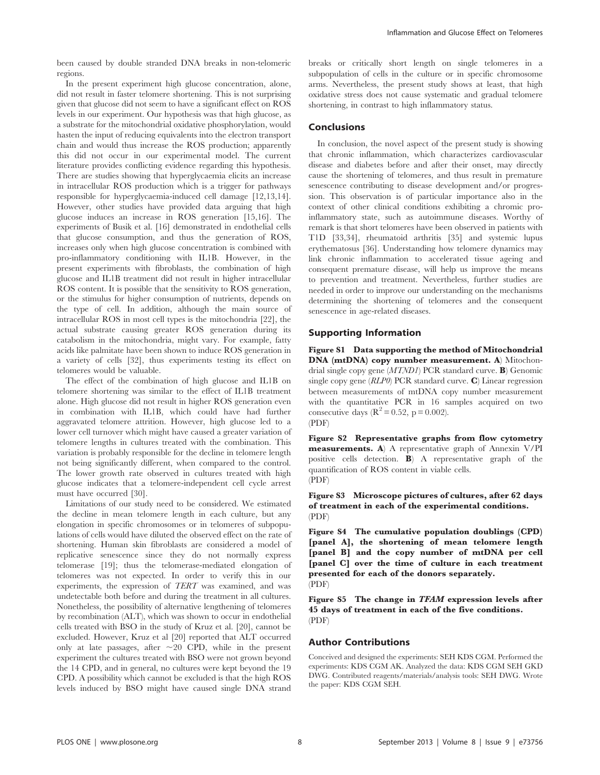been caused by double stranded DNA breaks in non-telomeric regions.

In the present experiment high glucose concentration, alone, did not result in faster telomere shortening. This is not surprising given that glucose did not seem to have a significant effect on ROS levels in our experiment. Our hypothesis was that high glucose, as a substrate for the mitochondrial oxidative phosphorylation, would hasten the input of reducing equivalents into the electron transport chain and would thus increase the ROS production; apparently this did not occur in our experimental model. The current literature provides conflicting evidence regarding this hypothesis. There are studies showing that hyperglycaemia elicits an increase in intracellular ROS production which is a trigger for pathways responsible for hyperglycaemia-induced cell damage [12,13,14]. However, other studies have provided data arguing that high glucose induces an increase in ROS generation [15,16]. The experiments of Busik et al. [16] demonstrated in endothelial cells that glucose consumption, and thus the generation of ROS, increases only when high glucose concentration is combined with pro-inflammatory conditioning with IL1B. However, in the present experiments with fibroblasts, the combination of high glucose and IL1B treatment did not result in higher intracellular ROS content. It is possible that the sensitivity to ROS generation, or the stimulus for higher consumption of nutrients, depends on the type of cell. In addition, although the main source of intracellular ROS in most cell types is the mitochondria [22], the actual substrate causing greater ROS generation during its catabolism in the mitochondria, might vary. For example, fatty acids like palmitate have been shown to induce ROS generation in a variety of cells [32], thus experiments testing its effect on telomeres would be valuable.

The effect of the combination of high glucose and IL1B on telomere shortening was similar to the effect of IL1B treatment alone. High glucose did not result in higher ROS generation even in combination with IL1B, which could have had further aggravated telomere attrition. However, high glucose led to a lower cell turnover which might have caused a greater variation of telomere lengths in cultures treated with the combination. This variation is probably responsible for the decline in telomere length not being significantly different, when compared to the control. The lower growth rate observed in cultures treated with high glucose indicates that a telomere-independent cell cycle arrest must have occurred [30].

Limitations of our study need to be considered. We estimated the decline in mean telomere length in each culture, but any elongation in specific chromosomes or in telomeres of subpopulations of cells would have diluted the observed effect on the rate of shortening. Human skin fibroblasts are considered a model of replicative senescence since they do not normally express telomerase [19]; thus the telomerase-mediated elongation of telomeres was not expected. In order to verify this in our experiments, the expression of TERT was examined, and was undetectable both before and during the treatment in all cultures. Nonetheless, the possibility of alternative lengthening of telomeres by recombination (ALT), which was shown to occur in endothelial cells treated with BSO in the study of Kruz et al. [20], cannot be excluded. However, Kruz et al [20] reported that ALT occurred only at late passages, after  $\sim$  20 CPD, while in the present experiment the cultures treated with BSO were not grown beyond the 14 CPD, and in general, no cultures were kept beyond the 19 CPD. A possibility which cannot be excluded is that the high ROS levels induced by BSO might have caused single DNA strand

breaks or critically short length on single telomeres in a subpopulation of cells in the culture or in specific chromosome arms. Nevertheless, the present study shows at least, that high oxidative stress does not cause systematic and gradual telomere shortening, in contrast to high inflammatory status.

# Conclusions

In conclusion, the novel aspect of the present study is showing that chronic inflammation, which characterizes cardiovascular disease and diabetes before and after their onset, may directly cause the shortening of telomeres, and thus result in premature senescence contributing to disease development and/or progression. This observation is of particular importance also in the context of other clinical conditions exhibiting a chromic proinflammatory state, such as autoimmune diseases. Worthy of remark is that short telomeres have been observed in patients with T1D [33,34], rheumatoid arthritis [35] and systemic lupus erythematosus [36]. Understanding how telomere dynamics may link chronic inflammation to accelerated tissue ageing and consequent premature disease, will help us improve the means to prevention and treatment. Nevertheless, further studies are needed in order to improve our understanding on the mechanisms determining the shortening of telomeres and the consequent senescence in age-related diseases.

## Supporting Information

Figure S1 Data supporting the method of Mitochondrial DNA (mtDNA) copy number measurement. A) Mitochondrial single copy gene (MTND1) PCR standard curve. B) Genomic single copy gene (RLP0) PCR standard curve. C) Linear regression between measurements of mtDNA copy number measurement with the quantitative PCR in 16 samples acquired on two consecutive days ( $R^2 = 0.52$ , p = 0.002). (PDF)

Figure S2 Representative graphs from flow cytometry measurements. A) A representative graph of Annexin V/PI positive cells detection. B) A representative graph of the quantification of ROS content in viable cells. (PDF)

Figure S3 Microscope pictures of cultures, after 62 days of treatment in each of the experimental conditions. (PDF)

Figure S4 The cumulative population doublings (CPD) [panel A], the shortening of mean telomere length [panel B] and the copy number of mtDNA per cell [panel C] over the time of culture in each treatment presented for each of the donors separately. (PDF)

Figure S5 The change in TFAM expression levels after 45 days of treatment in each of the five conditions. (PDF)

#### Author Contributions

Conceived and designed the experiments: SEH KDS CGM. Performed the experiments: KDS CGM AK. Analyzed the data: KDS CGM SEH GKD DWG. Contributed reagents/materials/analysis tools: SEH DWG. Wrote the paper: KDS CGM SEH.